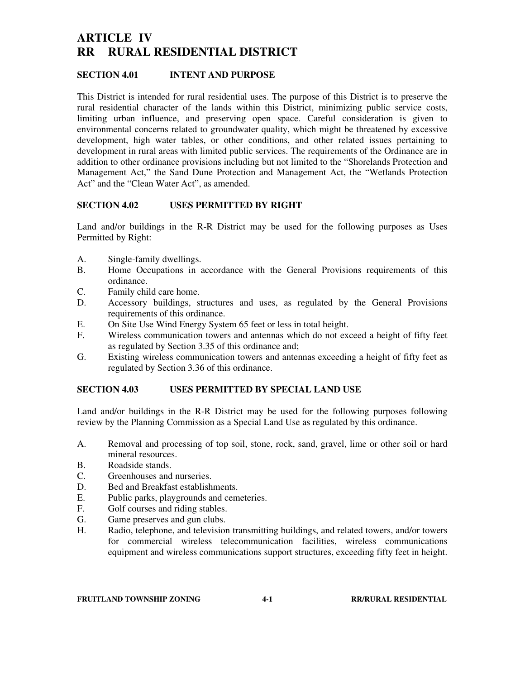# **ARTICLE IV RR RURAL RESIDENTIAL DISTRICT**

#### **SECTION 4.01 INTENT AND PURPOSE**

This District is intended for rural residential uses. The purpose of this District is to preserve the rural residential character of the lands within this District, minimizing public service costs, limiting urban influence, and preserving open space. Careful consideration is given to environmental concerns related to groundwater quality, which might be threatened by excessive development, high water tables, or other conditions, and other related issues pertaining to development in rural areas with limited public services. The requirements of the Ordinance are in addition to other ordinance provisions including but not limited to the "Shorelands Protection and Management Act," the Sand Dune Protection and Management Act, the "Wetlands Protection Act" and the "Clean Water Act", as amended.

### **SECTION 4.02 USES PERMITTED BY RIGHT**

Land and/or buildings in the R-R District may be used for the following purposes as Uses Permitted by Right:

- A. Single-family dwellings.
- B. Home Occupations in accordance with the General Provisions requirements of this ordinance.
- C. Family child care home.
- D. Accessory buildings, structures and uses, as regulated by the General Provisions requirements of this ordinance.
- E. On Site Use Wind Energy System 65 feet or less in total height.
- F. Wireless communication towers and antennas which do not exceed a height of fifty feet as regulated by Section 3.35 of this ordinance and;
- G. Existing wireless communication towers and antennas exceeding a height of fifty feet as regulated by Section 3.36 of this ordinance.

### **SECTION 4.03 USES PERMITTED BY SPECIAL LAND USE**

Land and/or buildings in the R-R District may be used for the following purposes following review by the Planning Commission as a Special Land Use as regulated by this ordinance.

- A. Removal and processing of top soil, stone, rock, sand, gravel, lime or other soil or hard mineral resources.
- B. Roadside stands.<br>C. Greenhouses and
- Greenhouses and nurseries.
- D. Bed and Breakfast establishments.
- E. Public parks, playgrounds and cemeteries.
- F. Golf courses and riding stables.
- G. Game preserves and gun clubs.
- H. Radio, telephone, and television transmitting buildings, and related towers, and/or towers for commercial wireless telecommunication facilities, wireless communications equipment and wireless communications support structures, exceeding fifty feet in height.